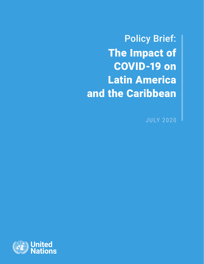Policy Brief: The Impact of COVID-19 on Latin America and the Caribbean

JULY 2020

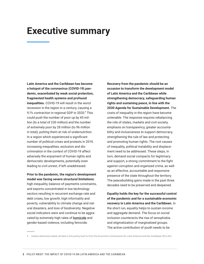# **Executive summary**

**Latin America and the Caribbean has become a hotspot of the coronavirus (COVID-19) pandemic, exacerbated by weak social protection, fragmented health systems and profound inequalities.** COVID-19 will result in the worst recession in the region in a century, causing a 9.1% contraction in regional GDP in 2020.<sup>1</sup> This could push the number of poor up by 45 million (to a total of 230 million) and the number of extremely poor by 28 million (to 96 million in total), putting them at risk of undernutrition. In a region which experienced a significant number of political crises and protests in 2019, increasing inequalities, exclusion and discrimination in the context of COVID-19 affect adversely the enjoyment of human rights and democratic developments, potentially even leading to civil unrest, if left unaddressed.

**Prior to the pandemic, the region's development model was facing severe structural limitations**: high inequality, balance-of-payments constraints, and exports concentrated in low-technology sectors resulting in recurrent exchange-rate and debt crises, low growth, high informality and poverty, vulnerability to climate change and natural disasters, and loss of biodiversity. Negative social indicators were and continue to be aggravated by extremely high rates of **[homicide](https://dataunodc.un.org/data/homicide/Homicide%20victims%20worldwide)** and gender-based violence, including femicide.

**Recovery from the pandemic should be an occasion to transform the development model of Latin America and the Caribbean while strengthening democracy, safeguarding human rights and sustaining peace, in line with the 2030 Agenda for Sustainable Development.** The costs of inequality in the region have become untenable. The response requires rebalancing the role of states, markets and civil society, emphasis on transparency, greater accountability and inclusiveness to support democracy, strengthening the rule of law and protecting and promoting human rights. The root causes of inequality, political instability and displacement need to be addressed. These steps, in turn, demand social compacts for legitimacy and support, a strong commitment to the fight against corruption and organized crime, as well as an effective, accountable and responsive presence of the state throughout the territory. The peacebuilding gains made in the past three decades need to be preserved and deepened.

**Equality holds the key for the successful control of the pandemic and for a sustainable economic recovery in Latin America and the Caribbean.** In the short run, equality helps to sustain income and aggregate demand. The focus on social inclusion counteracts the rise of xenophobia and stigmatization of marginalized groups. The active contribution of youth needs to be

**1** Unless otherwise stated, all data in this policy brief is from the Economic Commission for Latin America and the Caribbean (ECLAC).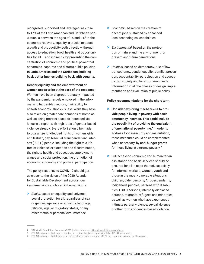recognized, supported and leveraged, as close to 17% of the Latin American and Caribbean population is between the ages of 15 and 24.<sup>2</sup> In the economic recovery, equality is crucial to boost growth and productivity both directly — through access to education, food, health and opportunities for all — and indirectly, by preventing the concentration of economic and political power that constrains, captures and distorts public policies. **In Latin America and the Caribbean, building back better implies building back with equality.**

**Gender equality and the empowerment of women needs to be at the core of the response**: Women have been disproportionately impacted by the pandemic; largely employed in the informal and hardest-hit sectors, their ability to absorb economic shocks is less, while they have also taken on greater care demands at home as well as being more exposed to increased violence in a region with high rates of gender-based violence already. Every effort should be made to guarantee full-fledged rights of women, girls and lesbian, gay, bisexual, transgender and intersex (LGBTI) people, including the right to a life free of violence, exploitation and discrimination, the right to health and education, employment, wages and social protection, the promotion of economic autonomy and political participation.

The policy response to COVID-19 should get us closer to the vision of the 2030 Agenda for Sustainable Development across four key dimensions anchored in human rights:

> *Social*, based on equality and universal social protection for all, regardless of sex or gender, age, race or ethnicity, language, religion, legal or migratory status, or any other status or personal circumstance.

- > *Economic*, based on the creation of decent jobs sustained by enhanced local technological capabilities.
- > *Environmental*, based on the protection of nature and the environment for present and future generations.
- > *Political,* based on democracy, rule of law, transparency, gender equality, conflict prevention, accountability, participation and access by civil society and local communities to information in all the phases of design, implementation and evaluation of public policy.

#### **Policy recommendations for the short term**:

- > **Consider exploring mechanisms to provide people living in poverty with basic emergency incomes. This could include the possibility of providing the equivalent of one national poverty line.**<sup>3</sup> In order to address food insecurity and malnutrition, these measures could be complemented, when necessary, by **anti-hunger grants** for those living in extreme poverty.<sup>4</sup>
- > Full access to economic and humanitarian assistance and basic services should be ensured for all in need thereof, especially for informal workers, women, youth and those in the most vulnerable situations: children, older persons, Afrodescendants, indigenous peoples, persons with disabilities, LGBTI persons, internally displaced persons, migrants, refugees and minorities, as well as women who have experienced intimate partner violence, sexual violence or other forms of gender-based violence.

**<sup>2</sup>** UN, World Population Prospects 2019 [online database] [https://population.un.org/wpp.](https://population.un.org/wpp)

**<sup>3</sup>** ECLAC estimates that, on average for the region, this line is approximately US\$ 140 per month.

**<sup>4</sup>** ECLAC estimates that the extreme poverty line is approximately US\$ 67 per month on average for the region.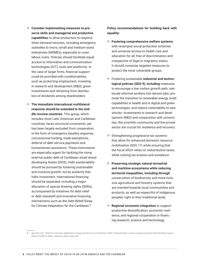- > **Consider implementing measures to preserve skills and managerial and productive capabilities** to allow production to respond when demand recovers, including emergency subsidies to micro, small and medium-sized enterprises (MSMEs), especially to cover labour costs. Policies should facilitate equal access to information and communication technologies (ICT), tools and platforms. In the case of larger firms, financial support could be provided with conditionalities, such as protecting employment, investing in research and development (R&D), green investments and refraining from distribution of dividends among shareholders.
- > **The immediate international multilateral response should be extended to the middle-income countries.** This group, which includes most Latin American and Caribbean countries, faces structural constraints, yet has been largely excluded from cooperation in the form of emergency liquidity response, concessional funding, trade exemptions, deferral of debt service payments and humanitarian assistance. These instruments are especially urgent for tackling the rising external public debt of Caribbean small island developing States (SIDS). Debt sustainability should be pursued by fostering sustainable and inclusive growth, not by austerity that halts investment. International financing should be expanded, including a major allocation of special drawing rights (SDRs), accompanied by initiatives for debt relief or debt standstill and innovative financing mechanisms such as the Debt Relief/Swap for Climate Adaptation for the Caribbean.<sup>5</sup>

**Policy recommendations for building back with equality:**

- > **Fostering comprehensive welfare systems**, with revamped social protection schemes and universal access to health care and education for all, free of discrimination and irrespective of legal or migratory status. It should comprise targeted measures to protect the most vulnerable groups.
- > Fostering sustainable **industrial and technological policies (SDG 9), including** measures to encourage a low-carbon growth path, reallocate informal workers into decent jobs, promote the transition to renewable energy, build capabilities in health and in digital and green technologies, and reduce vulnerability to new shocks. Investments in research and development (R&D) and cooperation with universities, the scientific community and the private sector are crucial for resilience and recovery.
- > Strengthening progressive tax systems that allow for enhanced domestic resource mobilization (SDG 17) while ensuring that the fiscal effort relies on redistributive taxes, while curbing tax evasion and avoidance.
- > **Preserving strategic natural terrestrial and maritime ecosystems while reducing territorial inequalities, including through** conservation of biodiversity and more inclusive agricultural and forestry systems that are oriented towards local communities and products, as well as respectful of indigenous peoples' right to their traditional lands.
- > **Regional economic integration** to support productive diversification, economic resilience, and regional cooperation in financing research, science and technology.

**<sup>5</sup>** See ECLAC, "Debt for Climate Adaptation Swap Initiative for Caribbean SIDS" [online] [https://www.cepal.org/sites/default/files/news/](https://www.cepal.org/sites/default/files/news/files/19-00814-debt_initiative_flyer-web.pdf) [files/19-00814-debt\\_initiative\\_flyer-web.pdf](https://www.cepal.org/sites/default/files/news/files/19-00814-debt_initiative_flyer-web.pdf).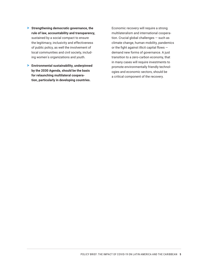- > **Strengthening democratic governance, the rule of law, accountability and transparency,**  sustained by a social compact to ensure the legitimacy, inclusivity and effectiveness of public policy, as well the involvement of local communities and civil society, including women´s organizations and youth.
- > **Environmental sustainability, underpinned by the 2030 Agenda, should be the basis for relaunching multilateral cooperation, particularly in developing countries.**

Economic recovery will require a strong multilateralism and international cooperation. Crucial global challenges — such as climate change, human mobility, pandemics or the fight against illicit capital flows demand new forms of governance. A just transition to a zero-carbon economy, that in many cases will require investments to promote environmentally friendly technologies and economic sectors, should be a critical component of the recovery.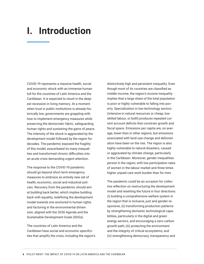# **I. Introduction**

COVID-19 represents a massive health, social and economic shock with an immense human toll for the countries of Latin America and the Caribbean. It is expected to result in the deepest recession in living memory. At a moment when trust in public institutions is already historically low, governments are grappling with how to implement emergency measures while preserving the democratic fabric, safeguarding human rights and sustaining the gains of peace. The intensity of the shock is aggravated by the development model followed by the region for decades. The pandemic exposed the fragility of this model, exacerbated its many inequalities and transformed chronic difficulties into an acute crisis demanding urgent attention.

The response to the COVID-19 pandemic should go beyond short-term emergency measures to embrace an entirely new set of health, economic, social and industrial policies. Recovery from the pandemic should aim at building back better, which implies building back with equality, redefining the development model towards one anchored in human rights and factoring in the environmental dimension, aligned with the 2030 Agenda and the Sustainable Development Goals (SDGs).

The countries of Latin America and the Caribbean have social and economic specificities that amplify the crisis, including the region's distinctively high and persistent inequality. Even though most of its countries are classified as middle-income, the region's income inequality implies that a large share of the total population is poor or highly vulnerable to falling into poverty. Specialization in low-technology sectors (intensive in natural resources or cheap, lowskilled labour, or both) produces repeated current account deficits that constrain growth and fiscal space. Emissions per capita are, on average, lower than in other regions, but emissions associated with land-use change and deforestation have been on the rise. The region is also highly vulnerable to natural disasters, caused or aggravated by climate change, particularly in the Caribbean. Moreover, gender inequalities persist in the region, with low participation rates of women in the labour market and three times higher unpaid care work burden than for men.

The pandemic could be an occasion for collective reflection on restructuring the development model and resetting the future in four directions: (i) building a comprehensive welfare system in the region that is inclusive, just and gender-responsive; (ii) transforming production patterns by strengthening domestic technological capabilities, particularly in the digital and green energy sectors, and encouraging a zero-carbon growth path; (iii) protecting the environment and the integrity of critical ecosystems; and (iv) strengthening democracy, transparency and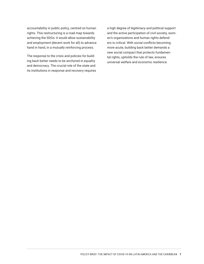accountability in public policy, centred on human rights. This restructuring is a road map towards achieving the SDGs: it would allow sustainability and employment (decent work for all) to advance hand in hand, in a mutually reinforcing process.

The response to the crisis and policies for building back better needs to be anchored in equality and democracy. The crucial role of the state and its institutions in response and recovery requires a high degree of legitimacy and political support and the active participation of civil society, women's organizations and human rights defenders is critical. With social conflicts becoming more acute, building back better demands a new social compact that protects fundamental rights, upholds the rule of law, ensures universal welfare and economic resilience.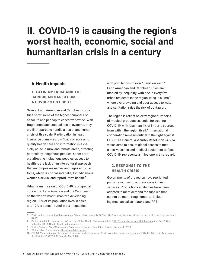# **II. COVID-19 is causing the region's worst health, economic, social and humanitarian crisis in a century**

### A.Health impacts

1. LATIN AMERICA AND THE CARIBBEAN HAS BECOME A COVID-19 HOT SPOT

Several Latin American and Caribbean countries show some of the highest numbers of absolute and per capita cases worldwide. With fragmented and unequal health systems, they are ill-prepared to handle a health and human crisis of this scale. Participation in health insurance plans was low.<sup>6</sup> Lack of access to quality health care and information is especially acute in rural and remote areas, affecting particularly indigenous peoples. Other barriers affecting indigenous peoples' access to health is the lack of an intercultural approach that encompasses native languages and customs, which is critical, inter alia, for indigenous women's sexual and reproductive health.<sup>7</sup>

Urban transmission of COVID-19 is of special concern to Latin America and the Caribbean as the world's most urbanized developing region. 80% of its population lives in cities and 17% is concentrated in six megacities,

with populations of over 10 million each.<sup>8</sup> Latin American and Caribbean cities are marked by inequality, with one in every five urban residents in the region living in slums,<sup>9</sup> where overcrowding and poor access to water and sanitation raise the risk of contagion.

The region is reliant on extraregional imports of medical products essential for treating COVID-19, with less than 4% of imports sourced from within the region itself.<sup>10</sup> International cooperation remains critical in the fight against COVID-19. General Assembly Resolution 74/274, which aims to ensure global access to medicines, vaccines and medical equipment to face COVID-19, represents a milestone in this regard.

### 2. RESPONSE TO THE HEALTH CRISIS

Governments of the region have reoriented public resources to address gaps in health services. Production capabilities have been adapted to meet demand for supplies that cannot be met through imports, including mechanical ventilators and PPE.

**<sup>6</sup>** Participation for employed people aged 15 and above was only 57.3% in 2016. Among the poorest income decile, this coverage was only 34.2%.

**<sup>7</sup>** On the health infrastructure in LAC, see the Global Health Observatory Data (http://www.who.int/gho/database/en) and PAHO, Core Indicators 2019: Health Trends in the Americas.

**<sup>8</sup>** United Nations, *World Urbanization Prospects: Highlights*, Population Division, New York, 2019.

**<sup>9</sup>** Global Urban Observatory,<https://unhabitat.org/guo>.

**<sup>10</sup>** ECLAC, "Restrictions on the export of medical products hamper efforts to contain coronavirus disease (COVID-19) in Latin America and the Caribbean", *COVID-19 Reports*, May 2020.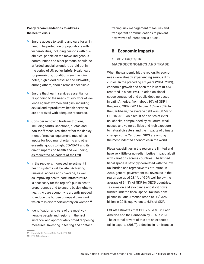#### **Policy recommendations to address the health crisis**

- > Ensure access to testing and care for all in need. The protection of populations with vulnerabilities, including persons with disabilities, people on the move, indigenous communities and older persons, should be afforded special attention, as laid out in the series of UN [policy briefs](https://www.un.org/en/coronavirus/UN-response). Health care for pre-existing conditions such as diabetes, high blood pressure and HIV/AIDS, among others, should remain accessible.
- > Ensure that health services essential for responding to the needs of survivors of violence against women and girls, including sexual and reproductive health services, are prioritized with adequate resources.
- > Consider removing trade restrictions, including tariffs, sanctions, quotas and non-tariff measures*,* that affect the deployment of medical equipment, medicines, inputs for food manufacturing and other essential goods to fight COVID-19 and its direct impacts on health and well-being, [as requested of leaders of the G20](https://www.un.org/africarenewal/news/coronavirus/letter-secretary-general-g-20-members).
- > In the recovery, increased investment in health systems will be vital. Achieving universal access and coverage, as well as improving health-care infrastructure, is necessary for the region's public health preparedness and to ensure basic rights to health. A care economy is urgently needed to reduce the burden of unpaid care work, which falls disproportionately on women.<sup>11</sup>
- > Identification and care of the most vulnerable people and regions in the first instance, and appropriately timed reopening measures. Investing in testing and contact

tracing, risk management measures and transparent communications to prevent new waves of infections is crucial.

### B. Economic impacts

### 1. KEY FACTS IN MACROECONOMICS AND TRADE

When the pandemic hit the region, its economies were already experiencing serious difficulties. In the preceding six years (2014–2019), economic growth had been the lowest (0.4%) recorded in since 1951. In addition, fiscal space contracted and public debt increased in Latin America, from about 30% of GDP in the period 2009–2011 to over 45% in 2019. In the Caribbean, the average debt was 68.5% of GDP in 2019. As a result of a series of external shocks, compounded by structural weaknesses and vulnerabilities and high exposure to natural disasters and the impacts of climate change, some Caribbean SIDS are among the most indebted economies in the world.

Fiscal capabilities in the region are limited and have very little or no redistributive impact, albeit with variations across countries. The limited fiscal space is strongly correlated with the low tax burden and regressive tax structure. In 2018, general government tax revenues in the region averaged 23.1% of GDP, well below the average of 34.3% of GDP for OECD countries. Tax evasion and avoidance and illicit flows further limit the fiscal space. Tax non-compliance in Latin America stood at US\$ 325 billion in 2018, equivalent to 6.1% of GDP.

ECLAC estimates that GDP could fall in Latin America and the Caribbean by 9.1% in 2020. The external drivers of this are an expected fall in exports  $(20<sup>612</sup>)$ , a decline in remittances

**<sup>11</sup>** Household Survey Data Bank, ECLAC.

**<sup>12</sup>** ECLAC estimate.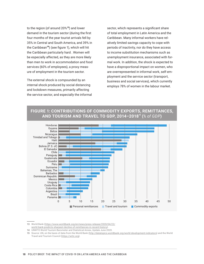to the region (of around  $20\%$ <sup>13</sup>) and lower demand in the tourism sector (during the first four months of the year tourist arrivals fell by 35% in Central and South America, and 39% in the Caribbean<sup>14</sup>) (see figure 1), which will hit the Caribbean particularly hard . Women will be especially affected, as they are more likely than men to work in accommodation and food services (60% of employees), a proxy measure of employment in the tourism sector.

The external shock is compounded by an internal shock produced by social distancing and lockdown measures, primarily affecting the service sector, and especially the informal sector, which represents a significant share of total employment in Latin America and the Caribbean. Many informal workers have relatively limited savings capacity to cope with periods of inactivity, nor do they have access to income substitution mechanisms such as unemployment insurance, associated with formal work. In addition, the shock is expected to have a disproportional impact on women, who are overrepresented in informal work, self-employment and the service sector (transport, business and social services), which currently employs 78% of women in the labour market.



## **FIGURE 1: CONTRIBUTIONS OF COMMODITY EXPORTS, REMITTANCES, AND TOURISM AND TRAVEL TO GDP, 2014–2018**<sup>15</sup> **(***% of GDP***)**

**13** World Bank [\(https://www.worldbank.org/en/news/press-release/2020/04/22/](https://www.worldbank.org/en/news/press-release/2020/04/22/world-bank-predicts-sharpest-decline-of-remittances-in-recent-history)

[world-bank-predicts-sharpest-decline-of-remittances-in-recent-history\)](https://www.worldbank.org/en/news/press-release/2020/04/22/world-bank-predicts-sharpest-decline-of-remittances-in-recent-history).

**14** UNWTO World Tourism Barometer and Statistical Annex, Update June 2020.

**15** Source: UN, on the basis of data from the World Bank (http://datatopics.worldbank.org/world-development-indicators) and the World Travel and Tourism Council (https://wttc.org).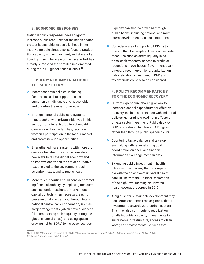#### 2. ECONOMIC RESPONSES

National policy responses have sought to increase public resources for the health sector, protect households (especially those in the most vulnerable situations), safeguard production capacity and employment, and stave off a liquidity crisis. The scale of the fiscal effort has already surpassed the stimulus implemented during the 2008 global financial crisis.<sup>16</sup>

#### 3. POLICY RECOMMENDATIONS: THE SHORT TERM

- > Macroeconomic policies, including fiscal policies, that support basic consumption by individuals and households and prioritize the most vulnerable.
- > Stronger national public care systems that, together with private initiatives in this sector, promote redistribution of unpaid care work within the families, facilitate women's participation in the labour market and create new job opportunities.
- > Strengthened fiscal systems with more progressive tax structures, while considering new ways to tax the digital economy and to improve and widen the set of corrective taxes related to the environment, such as carbon taxes, and to public health.
- > Monetary authorities could consider promoting financial stability by deploying measures such as foreign-exchange interventions, capital controls when necessary, easing pressure on dollar demand through international central bank cooperation, such as swap arrangements (which proved successful in maintaining dollar liquidity during the global financial crisis), and using special drawing rights (SDRs) to increase reserves.

Liquidity can also be provided through public banks, including national and multilateral development banking institutions.

> Consider ways of supporting MSMEs to prevent their bankruptcy. This could include measures such as direct liquidity injections, cash transfers, access to credit, or reductions in overheads. Government guarantees, direct interventions, capitalization, nationalization, investment in R&D and tax deferrals could also be considered.

#### 4. POLICY RECOMMENDATIONS FOR THE ECONOMIC RECOVERY

- > Current expenditure should give way to increased capital expenditure for effective recovery, in close coordination with industrial policies, generating crowding-in effects on private sector investment. Public debt-to-GDP ratios should fall through GDP growth rather than through public spending cuts.
- > Countering tax avoidance and tax evasion, along with regional and global coordination on fiscal and financial information exchange mechanisms.
- > Extending public investment in health infrastructure in a way that is compatible with the objective of universal health care, in line with the Political Declaration of the high-level meeting on universal health coverage, adopted in 2019.<sup>17</sup>
- > A big push for sustainable development may accelerate economic recovery and redirect investments towards zero-carbon sectors. This may also contribute to reutilization of idle industrial capacity. Investments in sustainable infrastructure, access to clean water, and environmental services that

**<sup>16</sup>** ECLAC, "Measuring the impact of COVID-19 with a view to reactivation", *COVID-19 Special Report*, No. 2, 21 April 2020.

**<sup>17</sup>** [https://undocs.org/en/A/RES/74/2.](https://undocs.org/en/A/RES/74/2)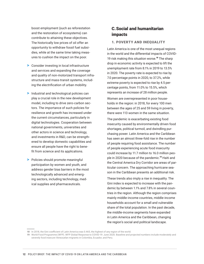boost employment (such as reforestation and the restoration of ecosystems) can contribute to attaining these objectives. The historically low prices of oil offer an opportunity to withdraw fossil fuel subsidies, while at the same time taking measures to cushion the impact on the poor.

- > Consider investing in local infrastructure and services and expanding the coverage and quality of non-motorized transport infrastructure and mass-transit systems, including the electrification of urban mobility.
- > Industrial and technological policies can play a crucial role in the new development model, including to drive zero-carbon sectors. The importance of such policies for resilience and growth has increased under the current circumstances, particularly in digital technologies. Cooperation between national governments, universities and other actors in science and technology, and investments in R&D, can be strengthened to develop domestic capabilities and ensure all people have the right to benefit from science and its applications.
- > Policies should promote meaningful participation by women and youth, and address gender bias barriers in the most technologically advanced and emerging sectors, including technology, medical supplies and pharmaceuticals.

# C.Social and humanitarian impacts

#### 1. POVERTY AND INEQUALITY

Latin America is one of the most unequal regions in the world and the differential impacts of COVID-19 risk making this situation worse.<sup>18</sup> The sharp drop in economic activity is expected to lift the unemployment rate from 8.1% in 2019 to 13.5% in 2020. The poverty rate is expected to rise by 7.0 percentage points in 2020, to 37.2%, while extreme poverty is expected to rise by 4.5 percentage points, from 11.0% to 15.5%, which represents an increase of 28 million people.

Women are overrepresented in poor households in the region: in 2018, for every 100 men between the ages of 25 and 59 living in poverty, there were 113 women in the same situation.

The pandemic is exacerbating existing food insecurity caused by environmentally driven food shortages, political turmoil, and dwindling purchasing power. Latin America and the Caribbean has seen an almost three-fold rise in the number of people requiring food assistance. The number of people experiencing acute food insecurity could increase by 11.7 million to 16.0 million people in 2020 because of the pandemic.<sup>19</sup> Haiti and the Central America Dry Corridor are areas of particular concern. The approaching hurricane season in the Caribbean presents an additional risk.

These trends also imply a rise in inequality. The Gini index is expected to increase with the pandemic by between 1.1% and 7.8% in several countries in the region. Although the region comprises mainly middle-income countries, middle-income households account for a small and vulnerable share of the total population. In the past decade, the middle-income segments have expanded in Latin America and the Caribbean, changing the region's social and political landscape.

**<sup>18</sup>** In 2018, the Gini coefficient of Latin America was 0.465, the highest of any region of the world.

**<sup>19</sup>** World Food Programme (WFP). WFP Global Response to COVID-19: June 2020. Baseline and projected numbers include moderately and severely food insecure Venezuelan migrants in Colombia, Ecuador, and Peru.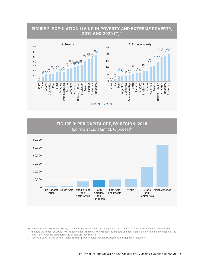





**<sup>20</sup>** Source: ECLAC, Household Survey Data Bank. Figures for 2020 are projections. The potential effects of the measures announced to mitigate the impact of COVID-19 are not included. The results only reflect the impacts of labour market deterioration. If the impact of the fall in remittances is considered, the effects are much worse.

<sup>21</sup> Source: ECLAC, on the basis of World Bank: http://datatopics.worldbank.org/world-development-indicators.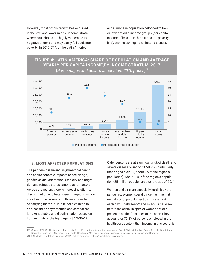However, most of this growth has occurred in the low- and lower-middle-income strata, where households are highly vulnerable to negative shocks and may easily fall back into poverty. In 2019, 77% of the Latin American

and Caribbean population belonged to lowor lower-middle-income groups (per capita income of less than three times the poverty line), with no savings to withstand a crisis.



**FIGURE 4: LATIN AMERICA: SHARE OF POPULATION AND AVERAGE YEARLY PER CAPITA INCOME,BY INCOME STRATUM, 2017 (***Percentages and dollars at constant 2010 prices***)** 22

#### 2. MOST AFFECTED POPULATIONS

The pandemic is having asymmetrical health and socioeconomic impacts based on age, gender, sexual orientation, ethnicity and migration and refugee status, among other factors. Across the region, there is increasing stigma, discrimination and hate speech targeting minorities, health personnel and those suspected of carrying the virus. Public policies need to address these asymmetries and combat racism, xenophobia and discrimination, based on human rights in the fight against COVID-19.

Older persons are at significant risk of death and severe disease owing to COVID-19 (particularly those aged over 80, about 2% of the region's population). About 13% of the region's population (85 million people) are over the age of  $60.^{23}$ 

Women and girls are especially hard hit by the pandemic. Women spend thrice the time that men do on unpaid domestic and care work each day — between 22 and 42 hours per week before the crisis. In spite of women's wider presence on the front lines of the crisis (they account for 72.8% of persons employed in the health-care sector), their income in this sector is

**22** Source: ECLAC. The figure includes data from 18 countries: Argentina, Venezuela, Brazil, Chile, Colombia, Costa Rica, the Dominican Republic, Ecuador, El Salvador, Guatemala, Honduras, Mexico, Nicaragua, Panama, Paraguay, Peru, Bolivia and Uruguay. **23** UN, World Population Prospects 2019 [online database] [https://population.un.org/wpp.](https://population.un.org/wpp)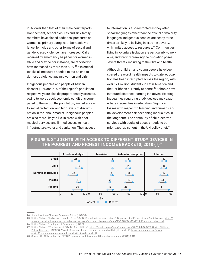25% lower than that of their male counterparts. Confinement, school closures and sick family members have placed additional pressures on women as primary caregivers. Domestic violence, femicide and other forms of sexual and gender-based violence have increased. Calls received by emergency helplines for women in Chile and Mexico, for instance, are reported to have increased by more than 50%.<sup>24</sup> It is critical to take all measures needed to put an end to domestic violence against women and girls.

Indigenous peoples and people of African descent (10% and 21% of the region's population, respectively) are also disproportionately affected, owing to worse socioeconomic conditions compared to the rest of the population, limited access to social protection, and high levels of discrimination in the labour market. Indigenous peoples are also more likely to live in areas with poor medical services and limited access to health infrastructure, water and sanitation. Their access

to information is also restricted as they often speak languages other than the official or majority languages. Indigenous peoples are nearly three times as likely to be living in extreme poverty, with limited access to resources.<sup>25</sup> Communities living in voluntary isolation are particularly vulnerable, and forcibly breaking their isolation poses severe threats, including to their life and health.

Although children and young people have been spared the worst health impacts to date, education has been interrupted across the region, with over 171 million students in Latin America and the Caribbean currently at home.<sup>26</sup> Schools have instituted distance-learning initiatives. Existing inequalities regarding study devices may exacerbate inequalities in education. Significant losses with respect to learning and human capital development risk deepening inequalities in the long term. The continuity of child-centred services with equity of access needs to be prioritized, as set out in the UN policy brief.<sup>27</sup>



# **FIGURE 5: STUDENTS WITH ACCESS TO DIFFERENT STUDY DEVICES IN THE POOREST AND RICHEST INCOME BRACKETS, 2018 (***%***)** 28

**<sup>24</sup>** United Nations Office on Drugs and Crime (UNODC).

**<sup>25</sup>** United Nations, "Indigenous peoples & the COVID-19 pandemic: considerations", Department of Economic and Social Affairs: [https://](https://www.un.org/development/desa/indigenouspeoples/wp-content/uploads/sites/19/2020/04/COVID19_IP_considerations.pdf) [www.un.org/development/desa/indigenouspeoples/wp-content/uploads/sites/19/2020/04/COVID19\\_IP\\_considerations.pdf](https://www.un.org/development/desa/indigenouspeoples/wp-content/uploads/sites/19/2020/04/COVID19_IP_considerations.pdf).

**<sup>26</sup>** United Nations Development Programme (UNDP).

**<sup>27</sup>** United Nations, "The impact of COVID-19 on children" ([https://unsdg.un.org/sites/default/files/2020-04/160420\\_Covid\\_Children\\_](https://unsdg.un.org/sites/default/files/2020-04/160420_Covid_Children_Policy_Brief.pdf) [Policy\\_Brief.pdf\)](https://unsdg.un.org/sites/default/files/2020-04/160420_Covid_Children_Policy_Brief.pdf). UNESCO, "Covid-19: school closures around the world will hit girls hardest" ([https://en.unesco.org/news/](https://en.unesco.org/news/covid-19-school-closures-around-world-will-hit-girls-hardest) [covid-19-school-closures-around-world-will-hit-girls-hardest](https://en.unesco.org/news/covid-19-school-closures-around-world-will-hit-girls-hardest)).

**<sup>28</sup>** Source: UNDP, based on the OECD Programme for International Student Assessment (PISA), 2018.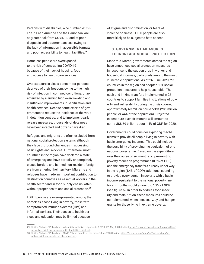Persons with disabilities, who number 70 million in Latin America and the Caribbean, are at greater risk from COVID-19 and of poor diagnosis and treatment access, owing to the lack of information in accessible formats and poor accessibility to health facilities.<sup>29</sup>

Homeless people are overexposed to the risk of contracting COVID-19 because of their lack of housing, food and access to health-care services.

Overexposure is also a concern for persons deprived of their freedom, owing to the high risk of infection in confined conditions, characterized by alarming high overcrowding and insufficient improvements in sanitization and health services. Despite some efforts of governments to reduce the incidence of the virus in detention centres, and to implement early release measures, thousands of detainees have been infected and dozens have died.

Refugees and migrants are often excluded from national social protection systems although they face profound challenges in accessing basic rights and services. Furthermore, most countries in the region have declared a state of emergency and have partially or completely closed borders and banned non-resident foreigners from entering their territory. Migrants and refugees have made an important contribution to destination countries as essential workers in the health sector and in food supply chains, often without proper health and social protection.<sup>30</sup>

LGBTI people are overrepresented among the homeless, those living in poverty, those with compromised immune systems (HIV) and informal workers. Their access to health services and education may be limited because

of stigma and discrimination, or fears of violence or arrest. LGBTI people are also more likely to be subject to hate speech.

### 3. GOVERNMENT MEASURES TO INCREASE SOCIAL PROTECTION

Since mid-March, governments across the region have announced social protection measures in response to the sudden drop in worker and household incomes, particularly among the most vulnerable populations. As of 26 June 2020, 29 countries in the region had adopted 194 social protection measures to help households. The cash and in-kind transfers implemented in 26 countries to support families in situations of poverty and vulnerability during the crisis covered approximately 69 million households (286 million people, or 44% of the population). Projected expenditure over six months will amount to some US\$ 69 billion, about 1.4% of GDP for 2020.

Governments could consider exploring mechanisms to provide all people living in poverty with basic emergency incomes. This could include the possibility of providing the equivalent of one national poverty line. Based on the expenditure over the course of six months on pre-existing poverty reduction programmes (0.6% of GDP) and the emergency transfers already under way in the region (1.4% of GDP), additional spending to provide every person in poverty with a basic income equivalent to the national poverty line for six months would amount to 1.9% of GDP (see figure 6). In order to address food insecurity and malnutrition, these measures could be complemented, when necessary, by anti-hunger grants for those living in extreme poverty.

**<sup>29</sup>** United Nations, "Policy brief: a disability-inclusive response to COVID-19", May 2020 [online] [https://www.un.org/sites/un2.un.org/files/](https://www.un.org/sites/un2.un.org/files/sg_policy_brief_on_persons_with_disabilities_final.pdf) [sg\\_policy\\_brief\\_on\\_persons\\_with\\_disabilities\\_final.pdf](https://www.un.org/sites/un2.un.org/files/sg_policy_brief_on_persons_with_disabilities_final.pdf).

**<sup>30</sup>** United Nations, "Policy brief: COVID-19 and people on the move", June 2020 [online] [https://www.un.org/sites/un2.un.org/files/sg\\_](https://www.un.org/sites/un2.un.org/files/sg_policy_brief_on_people_on_the_move.pdf) [policy\\_brief\\_on\\_people\\_on\\_the\\_move.pdf](https://www.un.org/sites/un2.un.org/files/sg_policy_brief_on_people_on_the_move.pdf).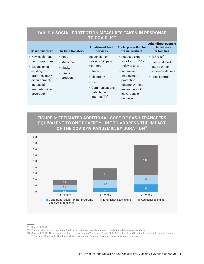| Cash transfers <sup>32</sup>                                                                                                                          | In-kind transfers                                                          | <b>Provision of basic</b><br><b>services</b>                                                                                                       | <b>Social protection for</b><br>formal workers                                                                                                                               | <b>Other direct support</b><br>to individuals<br>or families                                  |
|-------------------------------------------------------------------------------------------------------------------------------------------------------|----------------------------------------------------------------------------|----------------------------------------------------------------------------------------------------------------------------------------------------|------------------------------------------------------------------------------------------------------------------------------------------------------------------------------|-----------------------------------------------------------------------------------------------|
| • New cash trans-<br>fer programmes<br>• Expansion of<br>existing pro-<br>grammes (early<br>disbursement,<br>increased<br>amounts, wider<br>coverage) | $\bullet$ Food<br>• Medicines<br>$\bullet$ Masks<br>• Cleaning<br>products | Suspension or<br>waiver of bill pay-<br>ment for:<br>• Water<br>• Electricity<br>$\bullet$ Gas<br>• Communications<br>(telephone,<br>Internet, TV) | • Reduced expo-<br>sure to COVID-19<br>(teleworking)<br>$\bullet$ Income and<br>employment<br>protection<br>(unemployment<br>insurance, sick<br>leave, bans on<br>dismissal) | $\bullet$ Tax relief<br>• Loan and mort-<br>gage payment<br>accommodations<br>• Price control |

## **TABLE 1: SOCIAL PROTECTION MEASURES TAKEN IN RESPONSE TO COVID-19**<sup>31</sup>

**FIGURE 6: ESTIMATED ADDITIONAL COST OF CASH TRANSFERS EQUIVALENT TO ONE POVERTY LINE TO ADDRESS THE IMPACT OF THE COVID-19 PANDEMIC, BY DURATION**<sup>33</sup>



**33** Source: ECLAC. The countries included are: Argentina Venezuela, Brazil, Chile, Colombia, Costa Rica, the Dominican Republic, Ecuador, El Salvador, Guatemala, Honduras, Mexico, Nicaragua, Panama, Paraguay, Peru, Bolivia and Uruguay.

**<sup>31</sup>** Source: ECLAC.

**<sup>32</sup>** Transfers for persons and households in situations of poverty and vulnerability, including informal workers.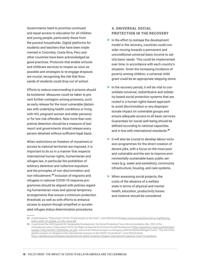Governments need to prioritize continued and equal access to education for all children and young people, particularly those from the poorest households. Digital platforms for students and teachers that have been implemented in Colombia, Costa Rica, Peru and other countries have been acknowledged as good practices. Protocols that enable schools and childcare services to reopen as soon as possible and strategies to re-engage dropouts are crucial, recognizing the risk that thousands of students could drop out of school.

Efforts to reduce overcrowding in prisons should be bolstered. Measures could be taken to prevent further contagion among prisoners, such as early release for the most vulnerable (detainees with underlying health conditions or living with HIV, pregnant women and older persons) or for low-risk offenders. Now more than ever, pretrial detention should be a measure of last resort and governments should release every person detained without sufficient legal basis.

When restrictions on freedom of movement or access to national territories are imposed, it is important to do so in a manner that respects international human rights*,* humanitarian and refugee law, in particular the prohibition of arbitrary detention and collective expulsion and the principles of non-discrimination and non-refoulement.<sup>34</sup> Inclusion of migrants and refugees in national COVID-19 response programmes should be aligned with policies regarding humanitarian visas and special temporary arrangements that ensure a minimum protection threshold, as well as with efforts to enhance access to asylum though simplified or accelerated refugee status determination procedures.

#### 4. UNIVERSAL SOCIAL PROTECTION IN THE RECOVERY

- > In the effort to reshape the development model in the recovery, countries could consider moving towards a permanent and unconditional universal basic income to satisfy basic needs*.* This could be implemented over time, in accordance with each country's situation. Given the increasing incidence of poverty among children, a universal child grant could be an appropriate stepping stone.
- > In the recovery period, it will be vital to consolidate universal, redistributive and solidarity-based social protection systems that are rooted in a human rights-based approach to avoid discrimination or any disproportionate impact on vulnerable groups and ensure adequate access to all basic services. Guarantees for social well-being should be defined according to national capacities and in line with international standards.<sup>35</sup>
- > It will also be crucial to develop labour inclusion programmes for the direct creation of decent jobs, with a focus on the most poor and vulnerable and the aim to improve environmentally sustainable basic public services (e.g. water and sanitation), community infrastructure, housing, and care systems.
- > When assessing social projects, the costs of the absence of a welfare state in terms of physical and mental health, education, productivity losses and violence should be considered*.*

**<sup>34</sup>** United Nations, "Policy brief: COVID-19 and people on the move", June 2020 [online] [https://www.un.org/sites/un2.un.org/files/sg\\_](https://www.un.org/sites/un2.un.org/files/sg_policy_brief_on_people_on_the_move.pdf) [policy\\_brief\\_on\\_people\\_on\\_the\\_move.pdf](https://www.un.org/sites/un2.un.org/files/sg_policy_brief_on_people_on_the_move.pdf).

**<sup>35</sup>** In particular the 2030 Agenda for Sustainable Development, the Social Protection Floors Recommendation (No. 202) of the International Labour Organization (ILO), the Regional Agenda for Inclusive Social Development ([http://repositorio.cepal.org/bitstream/](http://repositorio.cepal.org/bitstream/handle/11362/45330/1/S2000094_en.pdf) [handle/11362/45330/1/S2000094\\_en.pdf\)](http://repositorio.cepal.org/bitstream/handle/11362/45330/1/S2000094_en.pdf), and and the Global Compact on Refugees (UNHCR/Global Refugee Forum, "The role of the global compact on refugees in the international response to the COVID-19 pandemic", June 2020 [online] [https://globalcompactrefugees.org/article/role-global-compact-refugees-international-response-covid-19-pandemic.](https://globalcompactrefugees.org/article/role-global-compact-refugees-international-response-covid-19-pandemic)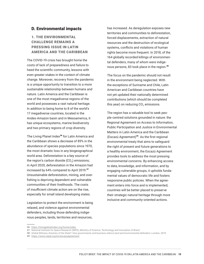### D. Environmental impacts

## 1. THE ENVIRONMENTAL CHALLENGE REMAINS A PRESSING ISSUE IN LATIN AMERICA AND THE CARIBBEAN

The COVID-19 crisis has brought home the costs of lack of preparedness and failure to heed the scientific community, lessons with even greater stakes in the context of climate change. Moreover, recovery from the pandemic is a unique opportunity to transition to a more sustainable relationship between humans and nature. Latin America and the Caribbean is one of the most megadiverse regions of the world and possesses a vast natural heritage. In addition to being home to 8 of the world's 17 megadiverse countries, located in the Andes-Amazon basin and in Mesoamerica, it has unique ecosystems, marine biodiversity and two primary regions of crop diversity.

The Living Planet Index<sup>36</sup> for Latin America and the Caribbean shows a decrease of 89% in the abundance of species populations since 1970, the most dramatic loss in any biogeographical world area. Deforestation is a key source of the region's carbon dioxide  $(CO<sub>2</sub>)$  emissions; in April 2020, deforestation in the Amazon had increased by 64% compared to April 2019.<sup>37</sup> Unsustainable deforestation, mining, and overfishing is depriving dependent and vulnerable communities of their livelihoods. The costs of insufficient climate action are on the rise, especially for small island developing states.

Legislation to protect the environment is being relaxed, and violence against environmental defenders, including those defending indigenous peoples, lands, territories and resources,

has increased. As deregulation exposes new territories and communities to deforestation, forced displacements, extraction of natural resources and the destruction of ecological systems, conflicts and violations of human rights become more frequent. In 2018, of the 164 globally recorded killings of environmental defenders, many of whom were indigenous persons, 83 took place in the region.<sup>38</sup>

The focus on the pandemic should not result in the environment being neglected. With the exceptions of Suriname and Chile, Latin American and Caribbean countries have not yet updated their nationally determined contributions (which should be completed this year) on reducing  $CO<sub>2</sub>$  emissions.

The region has a valuable tool to seek people-centred solutions grounded in nature: the Regional Agreement on Access to Information, Public Participation and Justice in Environmental Matters in Latin America and the Caribbean (Escazú Agreement) $39$ . As the first regional environmental treaty that aims to safeguard the right of present and future generations to a healthy environment, the Escazú Agreement provides tools to address the most pressing environmental concerns. By enhancing access to data, knowledge, and information, and by engaging vulnerable groups, it upholds fundamental values of democratic life and fosters responsive public policies. When the agreement enters into force and is implemented, countries will be better placed to preserve their strategic natural heritage through more inclusive and community-oriented actions.

**39** <https://www.cepal.org/en/escazuagreement>.

**<sup>36</sup>** https://livingplanetindex.org/home/index.

**<sup>37</sup>** National Institute for Space Research (INPE), Ministry of Science, Technology and Innovation of Brazil.

**<sup>38</sup>** Global Witness, *Enemies of the State?: How governments and business silence land and environmental defenders*, London, 2019.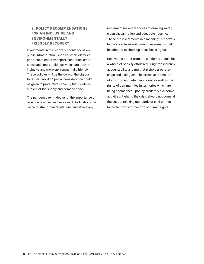## 2. POLICY RECOMMENDATIONS FOR AN INCLUSIVE AND ENVIRONMENTALLY FRIENDLY RECOVERY

Investments in the recovery should focus on public infrastructure, such as smart electrical grids, sustainable transport, sanitation, smart cities and smart buildings, which are both more inclusive and more environmentally friendly. These policies will be the core of the big push for sustainability. Special consideration could be given to productive capacity that is idle as a result of the supply and demand shock.

The pandemic reminded us of the importance of basic necessities and services. Efforts should be made to strengthen regulations and effectively

implement universal access to drinking water, clean air, sanitation and adequate housing. These are investments in a meaningful recovery. In the short term, mitigating measures should be adopted to shore up these basic rights.

Recovering better from the pandemic should be a whole-of-society effort requiring transparency, accountability and multi-stakeholder partnerships and dialogues. The effective protection of environment defenders is key, as well as the rights of communities in territories which are being encroached upon by predatory extractive activities. Fighting the crisis should not come at the cost of relaxing standards of environmental protection or protection of human rights.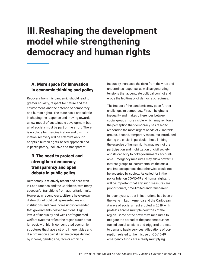# **III.Reshaping the development model while strengthening democracy and human rights**

# A. More space for innovation in economic thinking and policy

Recovery from this pandemic should lead to greater equality, respect for nature and the environment, and the defence of democracy and human rights. The state has a critical role in shaping the response and moving towards a new model of sustainable development but all of society must be part of the effort. There is no place for marginalization and discrimination; recovery will be effective only if it adopts a human rights-based approach and is participatory, inclusive and transparent.

# B.The need to protect and strengthen democracy, transparency and open debate in public policy

Democracy is relatively recent and hard-won in Latin America and the Caribbean, with many successful transitions from authoritarian rule. However, in recent years, citizens have grown distrustful of political representatives and institutions and have increasingly demanded that governments deliver solutions. High levels of inequality and weak or fragmented welfare systems reflect the region's authoritarian past, with highly concentrated economic structures that have a strong inherent bias and discrimination against certain groups defined by income, gender, age, race or ethnicity.

Inequality increases the risks from the virus and undermines response, as well as generating tensions that accentuate political conflict and erode the legitimacy of democratic regimes.

The impact of the pandemic may pose further challenges to democracy. First, it heightens inequality and makes differences between social groups more visible, which may reinforce the perception that democracy has failed to respond to the most urgent needs of vulnerable groups. Second, temporary measures introduced during the crisis, in particular those limiting the exercise of human rights, may restrict the participation and mobilization of civil society and its capacity to hold governments accountable. Emergency measures may allow powerful interest groups to instrumentalize the crisis and impose agendas that otherwise would not be accepted by society. As called for in the policy brief on COVID-19 and human rights, it will be important that any such measures are proportionate, time-limited and transparent.

In recent years, trust in institutions has been on the wane in Latin America and the Caribbean. A wave of social unrest erupted in 2019, with protests across multiple countries of the region. Some of the preventive measures to mitigate the spread of the pandemic further fuelled social tensions and triggered protests to demand basic services. Allegations of corruption related to the misuse of COVID-19 emergency funds are already multiplying.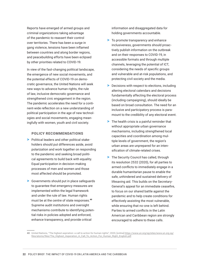Reports have emerged of armed groups and criminal organizations taking advantage of the pandemic to reassert their control over territories. There has been a surge in gang violence, tensions have been inflamed between countries and along border regions, and peacebuilding efforts have been eclipsed by other priorities related to COVID-19.

In view of the fast-changing political landscape, the emergence of new social movements, and the potential effects of COVID-19 on democratic governance, the United Nations will seek new ways to advance human rights, the rule of law, inclusive democratic governance and strengthened civic engagement in the region. The pandemic accelerates the need for a continent-wide reflection on a new understanding of political participation in the age of new technologies and social movements, engaging meaningfully with women, youth and civil society.

#### POLICY RECOMMENDATIONS

- > Political leaders and other political stakeholders should put differences aside, avoid polarization and work together on responding to the pandemic and seeking broad political agreements to build back with equality. Equal participation in decision-making processes of men and women and those most affected should be promoted.
- > Governments should put in place safeguards to guarantee that emergency measures are implemented within the legal framework and under the rule of law. Human rights must be at the centre of state responses.<sup>40</sup> Supreme audit institutions and oversight mechanisms contribute to identifying potential risks in policies adopted and enforced, enhance transparency, and provide critical

information and disaggregated data for holding governments accountable.

- > To promote transparency and enhance inclusiveness, governments should proactively publish information on the outbreak and on their responses to COVID-19, in accessible formats and through multiple channels, leveraging the potential of ICT, considering the needs of specific groups and vulnerable and at-risk populations, and protecting civil society and the media.
- > Decisions with respect to elections, including altering electoral calendars and decisions fundamentally affecting the electoral process (including campaigning), should ideally be based on broad consultation. The need for an inclusive and participatory process is paramount to the credibility of any electoral event.
- > The health crisis is a painful reminder that without appropriate urban governance mechanisms, including strengthened local capacities and coordination among multiple levels of government, the region's urban areas are unprepared for an intensification of climate-related crises.
- > The Security Council has called, through its resolution 2532 (2020), for all parties to armed conflicts to immediately engage in a durable humanitarian pause to enable the safe, unhindered and sustained delivery of lifesaving aid. This builds on the Secretary-General's appeal for an immediate ceasefire, to focus on our shared battle against the pandemic and to help create conditions for effectively assisting the most vulnerable, while ensuring that no-one is left behind. Parties to armed conflicts in the Latin American and Caribbean region are strongly encouraged to adhere to these calls.

**<sup>40</sup>** United Nations, "The highest aspiration: a call to action for human rights", 2020, [online] [https://www.un.org/sg/sites/www.un.org.sg/](https://www.un.org/sg/sites/www.un.org.sg/files/atoms/files/The_Highest_Asperation_A_Call_To_Action_For_Human_Right_English.pdf) [files/atoms/files/The\\_Highest\\_Asperation\\_A\\_Call\\_To\\_Action\\_For\\_Human\\_Right\\_English.pdf](https://www.un.org/sg/sites/www.un.org.sg/files/atoms/files/The_Highest_Asperation_A_Call_To_Action_For_Human_Right_English.pdf).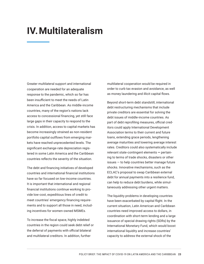# **IV.Multilateralism**

Greater multilateral support and international cooperation are needed for an adequate response to the pandemic, which so far has been insufficient to meet the needs of Latin America and the Caribbean. As middle-income countries, many of the region's nations lack access to concessional financing, yet still face large gaps in their capacity to respond to the crisis. In addition, access to capital markets has become increasingly strained as non-resident portfolio capital outflows from emerging markets have reached unprecedented levels. The significant exchange-rate depreciation registered in some Latin America and the Caribbean countries reflects the severity of the situation.

The debt and financing initiatives of developed countries and international financial institutions have so far focused on low-income countries. It is important that international and regional financial institutions continue working to provide low-cost, expeditious lines of credit to meet countries' emergency financing requirements and to support all those in need, including incentives for women-owned MSMEs.

To increase the fiscal space, highly indebted countries in the region could seek debt relief or the deferral of payments with official bilateral and multilateral creditors. In addition, further

multilateral cooperation would be required in order to curb tax evasion and avoidance, as well as money laundering and illicit capital flows.

Beyond short-term debt standstill, international debt restructuring mechanisms that include private creditors are essential for solving the debt issues of middle-income countries. As part of debt reprofiling measures, official creditors could apply International Development Association terms to their current and future loans, extending grace periods, lengthening average maturities and lowering average interest rates. Creditors could also systematically include relevant state-contingent elements **—** pertaining to terms of trade shocks, disasters or other issues — to help countries better manage future shocks. Innovative mechanisms, such as the ECLAC's proposal to swap Caribbean external debt for annual payments into a resilience fund, can help to reduce debt burdens, while simultaneously addressing other urgent matters.

The liquidity problems in developing countries have been exacerbated by capital flight. In the current situation, Latin American and Caribbean countries need improved access to dollars, in coordination with short-term lending and a large issuance of special drawing rights (SDRs) by the International Monetary Fund, which would boost international liquidity and increase countries' capacity to address the external shock of the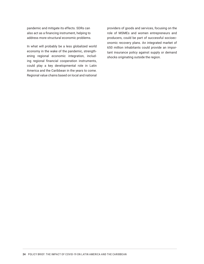pandemic and mitigate its effects. SDRs can also act as a financing instrument, helping to address more structural economic problems.

In what will probably be a less globalized world economy in the wake of the pandemic, strengthening regional economic integration, including regional financial cooperation instruments, could play a key developmental role in Latin America and the Caribbean in the years to come. Regional value chains based on local and national

providers of goods and services, focusing on the role of MSMEs and women entrepreneurs and producers, could be part of successful socioeconomic recovery plans. An integrated market of 650 million inhabitants could provide an important insurance policy against supply or demand shocks originating outside the region.